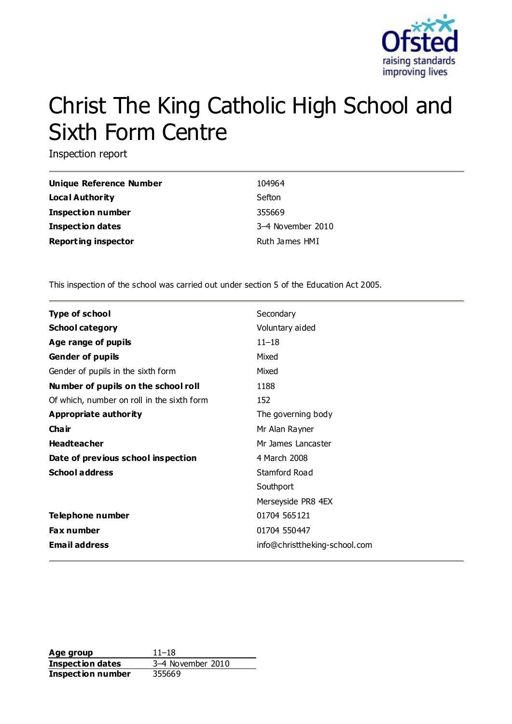

# Christ The King Catholic High School and Sixth Form Centre

Inspection report

| Unique Reference Number    | 104964            |
|----------------------------|-------------------|
| Local Authority            | Sefton            |
| <b>Inspection number</b>   | 355669            |
| <b>Inspection dates</b>    | 3-4 November 2010 |
| <b>Reporting inspector</b> | Ruth James HMI    |

This inspection of the school was carried out under section 5 of the Education Act 2005.

| <b>Type of school</b>                      | Secondary                     |
|--------------------------------------------|-------------------------------|
|                                            |                               |
| <b>School category</b>                     | Voluntary aided               |
| Age range of pupils                        | $11 - 18$                     |
| <b>Gender of pupils</b>                    | Mixed                         |
| Gender of pupils in the sixth form         | Mixed                         |
| Number of pupils on the school roll        | 1188                          |
| Of which, number on roll in the sixth form | 152                           |
| Appropriate authority                      | The governing body            |
| Cha ir                                     | Mr Alan Rayner                |
| <b>Headteacher</b>                         | Mr James Lancaster            |
| Date of previous school inspection         | 4 March 2008                  |
| <b>School address</b>                      | Stamford Road                 |
|                                            | Southport                     |
|                                            | Merseyside PR8 4EX            |
| <b>Telephone number</b>                    | 01704 565121                  |
| <b>Fax number</b>                          | 01704 550447                  |
| <b>Email address</b>                       | info@christtheking-school.com |

**Age group** 11–18 **Inspection dates** 3–4 November 2010 **Inspection number** 355669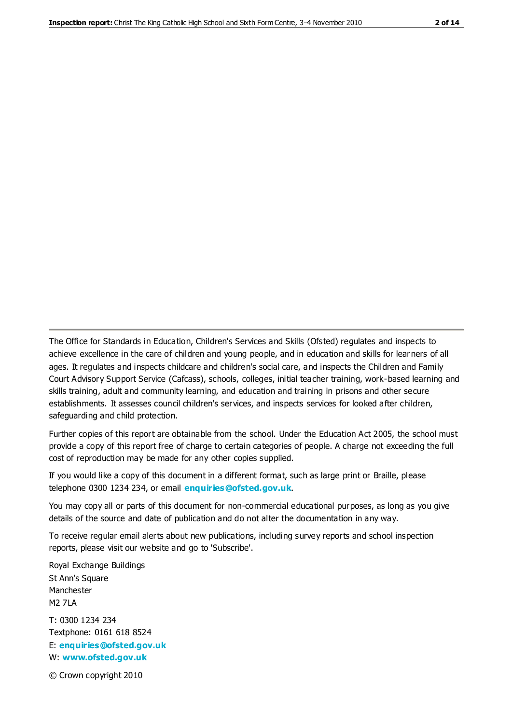The Office for Standards in Education, Children's Services and Skills (Ofsted) regulates and inspects to achieve excellence in the care of children and young people, and in education and skills for learners of all ages. It regulates and inspects childcare and children's social care, and inspects the Children and Family Court Advisory Support Service (Cafcass), schools, colleges, initial teacher training, work-based learning and skills training, adult and community learning, and education and training in prisons and other secure establishments. It assesses council children's services, and inspects services for looked after children, safeguarding and child protection.

Further copies of this report are obtainable from the school. Under the Education Act 2005, the school must provide a copy of this report free of charge to certain categories of people. A charge not exceeding the full cost of reproduction may be made for any other copies supplied.

If you would like a copy of this document in a different format, such as large print or Braille, please telephone 0300 1234 234, or email **[enquiries@ofsted.gov.uk](mailto:enquiries@ofsted.gov.uk)**.

You may copy all or parts of this document for non-commercial educational purposes, as long as you give details of the source and date of publication and do not alter the documentation in any way.

To receive regular email alerts about new publications, including survey reports and school inspection reports, please visit our website and go to 'Subscribe'.

Royal Exchange Buildings St Ann's Square Manchester M2 7LA T: 0300 1234 234 Textphone: 0161 618 8524 E: **[enquiries@ofsted.gov.uk](mailto:enquiries@ofsted.gov.uk)**

W: **[www.ofsted.gov.uk](http://www.ofsted.gov.uk/)**

© Crown copyright 2010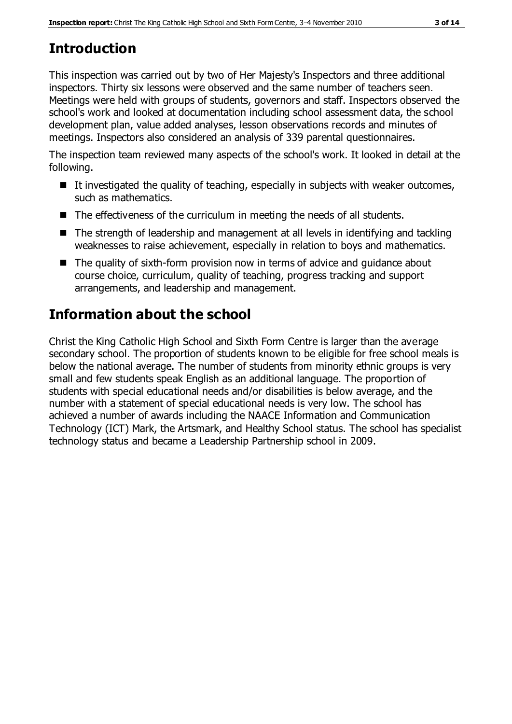# **Introduction**

This inspection was carried out by two of Her Majesty's Inspectors and three additional inspectors. Thirty six lessons were observed and the same number of teachers seen. Meetings were held with groups of students, governors and staff. Inspectors observed the school's work and looked at documentation including school assessment data, the school development plan, value added analyses, lesson observations records and minutes of meetings. Inspectors also considered an analysis of 339 parental questionnaires.

The inspection team reviewed many aspects of the school's work. It looked in detail at the following.

- $\blacksquare$  It investigated the quality of teaching, especially in subjects with weaker outcomes, such as mathematics.
- The effectiveness of the curriculum in meeting the needs of all students.
- The strength of leadership and management at all levels in identifying and tackling weaknesses to raise achievement, especially in relation to boys and mathematics.
- The quality of sixth-form provision now in terms of advice and quidance about course choice, curriculum, quality of teaching, progress tracking and support arrangements, and leadership and management.

# **Information about the school**

Christ the King Catholic High School and Sixth Form Centre is larger than the average secondary school. The proportion of students known to be eligible for free school meals is below the national average. The number of students from minority ethnic groups is very small and few students speak English as an additional language. The proportion of students with special educational needs and/or disabilities is below average, and the number with a statement of special educational needs is very low. The school has achieved a number of awards including the NAACE Information and Communication Technology (ICT) Mark, the Artsmark, and Healthy School status. The school has specialist technology status and became a Leadership Partnership school in 2009.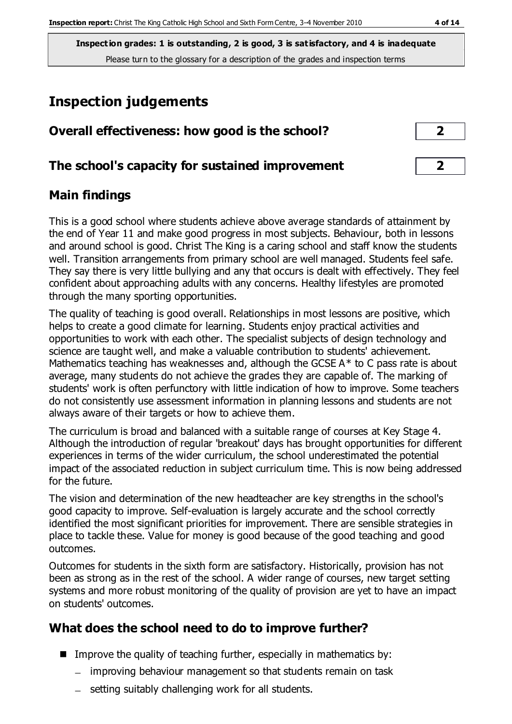**Inspection grades: 1 is outstanding, 2 is good, 3 is satisfactory, and 4 is inadequate** Please turn to the glossary for a description of the grades and inspection terms

# **Inspection judgements**

| Overall effectiveness: how good is the school?  |                         |  |
|-------------------------------------------------|-------------------------|--|
| The school's capacity for sustained improvement | $\overline{\mathbf{z}}$ |  |

## **Main findings**

This is a good school where students achieve above average standards of attainment by the end of Year 11 and make good progress in most subjects. Behaviour, both in lessons and around school is good. Christ The King is a caring school and staff know the students well. Transition arrangements from primary school are well managed. Students feel safe. They say there is very little bullying and any that occurs is dealt with effectively. They feel confident about approaching adults with any concerns. Healthy lifestyles are promoted through the many sporting opportunities.

The quality of teaching is good overall. Relationships in most lessons are positive, which helps to create a good climate for learning. Students enjoy practical activities and opportunities to work with each other. The specialist subjects of design technology and science are taught well, and make a valuable contribution to students' achievement. Mathematics teaching has weaknesses and, although the GCSE  $A^*$  to C pass rate is about average, many students do not achieve the grades they are capable of. The marking of students' work is often perfunctory with little indication of how to improve. Some teachers do not consistently use assessment information in planning lessons and students are not always aware of their targets or how to achieve them.

The curriculum is broad and balanced with a suitable range of courses at Key Stage 4. Although the introduction of regular 'breakout' days has brought opportunities for different experiences in terms of the wider curriculum, the school underestimated the potential impact of the associated reduction in subject curriculum time. This is now being addressed for the future.

The vision and determination of the new headteacher are key strengths in the school's good capacity to improve. Self-evaluation is largely accurate and the school correctly identified the most significant priorities for improvement. There are sensible strategies in place to tackle these. Value for money is good because of the good teaching and good outcomes.

Outcomes for students in the sixth form are satisfactory. Historically, provision has not been as strong as in the rest of the school. A wider range of courses, new target setting systems and more robust monitoring of the quality of provision are yet to have an impact on students' outcomes.

## **What does the school need to do to improve further?**

- Improve the quality of teaching further, especially in mathematics by:
	- improving behaviour management so that students remain on task
	- $-$  setting suitably challenging work for all students.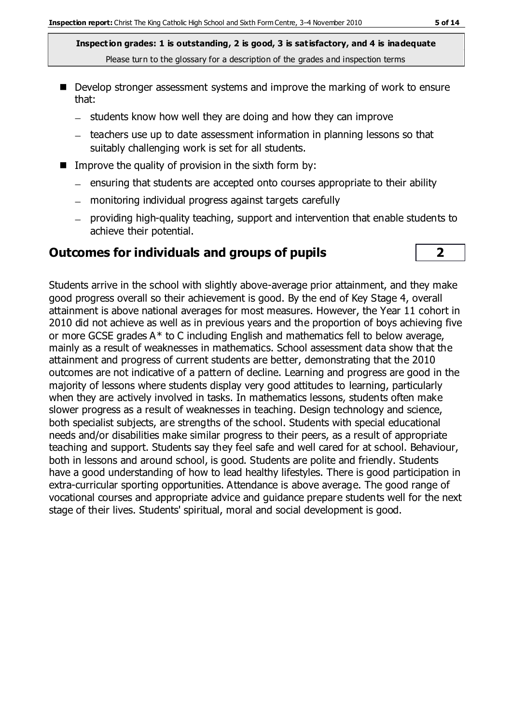**Inspection grades: 1 is outstanding, 2 is good, 3 is satisfactory, and 4 is inadequate** Please turn to the glossary for a description of the grades and inspection terms

- Develop stronger assessment systems and improve the marking of work to ensure that:
	- $-$  students know how well they are doing and how they can improve
	- teachers use up to date assessment information in planning lessons so that suitably challenging work is set for all students.
- Improve the quality of provision in the sixth form by:
	- $-$  ensuring that students are accepted onto courses appropriate to their ability
	- monitoring individual progress against targets carefully
	- providing high-quality teaching, support and intervention that enable students to achieve their potential.

#### **Outcomes for individuals and groups of pupils 2**

Students arrive in the school with slightly above-average prior attainment, and they make good progress overall so their achievement is good. By the end of Key Stage 4, overall attainment is above national averages for most measures. However, the Year 11 cohort in 2010 did not achieve as well as in previous years and the proportion of boys achieving five or more GCSE grades A\* to C including English and mathematics fell to below average, mainly as a result of weaknesses in mathematics. School assessment data show that the attainment and progress of current students are better, demonstrating that the 2010 outcomes are not indicative of a pattern of decline. Learning and progress are good in the majority of lessons where students display very good attitudes to learning, particularly when they are actively involved in tasks. In mathematics lessons, students often make slower progress as a result of weaknesses in teaching. Design technology and science, both specialist subjects, are strengths of the school. Students with special educational needs and/or disabilities make similar progress to their peers, as a result of appropriate teaching and support. Students say they feel safe and well cared for at school. Behaviour, both in lessons and around school, is good. Students are polite and friendly. Students have a good understanding of how to lead healthy lifestyles. There is good participation in extra-curricular sporting opportunities. Attendance is above average. The good range of vocational courses and appropriate advice and guidance prepare students well for the next stage of their lives. Students' spiritual, moral and social development is good.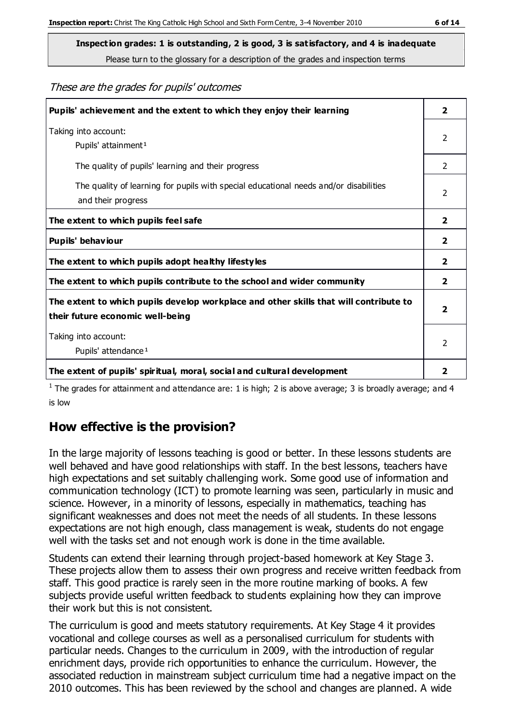These are the grades for pupils' outcomes

| Pupils' achievement and the extent to which they enjoy their learning                                                     | $\overline{2}$          |
|---------------------------------------------------------------------------------------------------------------------------|-------------------------|
| Taking into account:<br>Pupils' attainment <sup>1</sup>                                                                   |                         |
| The quality of pupils' learning and their progress                                                                        | $\mathcal{P}$           |
| The quality of learning for pupils with special educational needs and/or disabilities<br>and their progress               |                         |
| The extent to which pupils feel safe                                                                                      | $\overline{2}$          |
| Pupils' behaviour                                                                                                         | $\mathbf{2}$            |
| The extent to which pupils adopt healthy lifestyles                                                                       | 2                       |
| The extent to which pupils contribute to the school and wider community                                                   | $\mathbf{2}$            |
| The extent to which pupils develop workplace and other skills that will contribute to<br>their future economic well-being | $\overline{\mathbf{2}}$ |
| Taking into account:<br>Pupils' attendance <sup>1</sup>                                                                   |                         |
| The extent of pupils' spiritual, moral, social and cultural development                                                   | 2                       |

<sup>1</sup> The grades for attainment and attendance are: 1 is high; 2 is above average; 3 is broadly average; and 4 is low

## **How effective is the provision?**

In the large majority of lessons teaching is good or better. In these lessons students are well behaved and have good relationships with staff. In the best lessons, teachers have high expectations and set suitably challenging work. Some good use of information and communication technology (ICT) to promote learning was seen, particularly in music and science. However, in a minority of lessons, especially in mathematics, teaching has significant weaknesses and does not meet the needs of all students. In these lessons expectations are not high enough, class management is weak, students do not engage well with the tasks set and not enough work is done in the time available.

Students can extend their learning through project-based homework at Key Stage 3. These projects allow them to assess their own progress and receive written feedback from staff. This good practice is rarely seen in the more routine marking of books. A few subjects provide useful written feedback to students explaining how they can improve their work but this is not consistent.

The curriculum is good and meets statutory requirements. At Key Stage 4 it provides vocational and college courses as well as a personalised curriculum for students with particular needs. Changes to the curriculum in 2009, with the introduction of regular enrichment days, provide rich opportunities to enhance the curriculum. However, the associated reduction in mainstream subject curriculum time had a negative impact on the 2010 outcomes. This has been reviewed by the school and changes are planned. A wide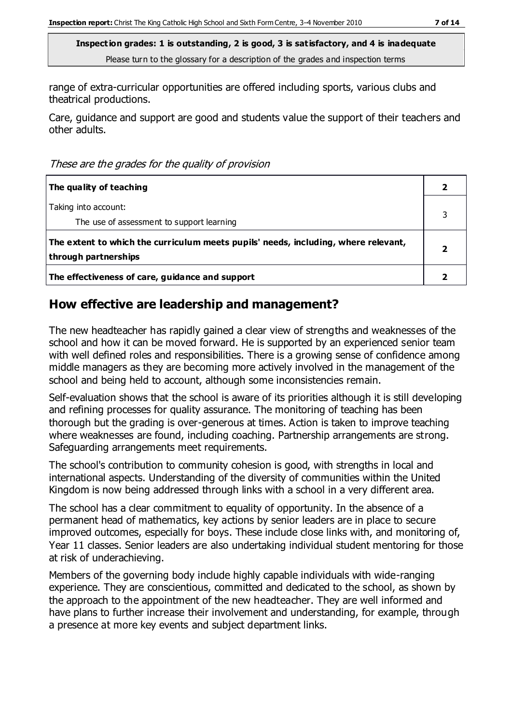range of extra-curricular opportunities are offered including sports, various clubs and theatrical productions.

Care, guidance and support are good and students value the support of their teachers and other adults.

These are the grades for the quality of provision

| The quality of teaching                                                                                    |  |
|------------------------------------------------------------------------------------------------------------|--|
| Taking into account:<br>The use of assessment to support learning                                          |  |
| The extent to which the curriculum meets pupils' needs, including, where relevant,<br>through partnerships |  |
| The effectiveness of care, guidance and support                                                            |  |

## **How effective are leadership and management?**

The new headteacher has rapidly gained a clear view of strengths and weaknesses of the school and how it can be moved forward. He is supported by an experienced senior team with well defined roles and responsibilities. There is a growing sense of confidence among middle managers as they are becoming more actively involved in the management of the school and being held to account, although some inconsistencies remain.

Self-evaluation shows that the school is aware of its priorities although it is still developing and refining processes for quality assurance. The monitoring of teaching has been thorough but the grading is over-generous at times. Action is taken to improve teaching where weaknesses are found, including coaching. Partnership arrangements are strong. Safeguarding arrangements meet requirements.

The school's contribution to community cohesion is good, with strengths in local and international aspects. Understanding of the diversity of communities within the United Kingdom is now being addressed through links with a school in a very different area.

The school has a clear commitment to equality of opportunity. In the absence of a permanent head of mathematics, key actions by senior leaders are in place to secure improved outcomes, especially for boys. These include close links with, and monitoring of, Year 11 classes. Senior leaders are also undertaking individual student mentoring for those at risk of underachieving.

Members of the governing body include highly capable individuals with wide-ranging experience. They are conscientious, committed and dedicated to the school, as shown by the approach to the appointment of the new headteacher. They are well informed and have plans to further increase their involvement and understanding, for example, through a presence at more key events and subject department links.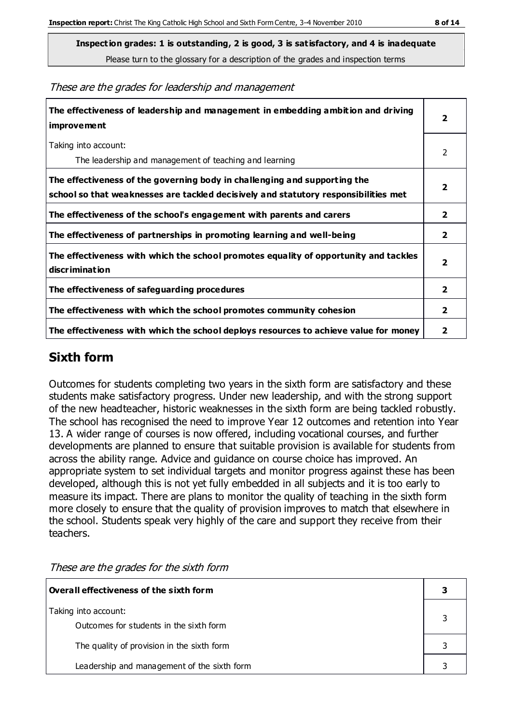**Inspection grades: 1 is outstanding, 2 is good, 3 is satisfactory, and 4 is inadequate**

Please turn to the glossary for a description of the grades and inspection terms

These are the grades for leadership and management

| The effectiveness of leadership and management in embedding ambition and driving<br>improvement                                                                  |                         |
|------------------------------------------------------------------------------------------------------------------------------------------------------------------|-------------------------|
| Taking into account:<br>The leadership and management of teaching and learning                                                                                   | $\mathcal{L}$           |
| The effectiveness of the governing body in challenging and supporting the<br>school so that weaknesses are tackled decisively and statutory responsibilities met |                         |
| The effectiveness of the school's engagement with parents and carers                                                                                             | 2                       |
| The effectiveness of partnerships in promoting learning and well-being                                                                                           | $\mathbf{2}$            |
| The effectiveness with which the school promotes equality of opportunity and tackles<br>discrimination                                                           | $\overline{\mathbf{2}}$ |
| The effectiveness of safeguarding procedures                                                                                                                     | $\overline{2}$          |
| The effectiveness with which the school promotes community cohesion                                                                                              |                         |
| The effectiveness with which the school deploys resources to achieve value for money                                                                             |                         |

#### **Sixth form**

Outcomes for students completing two years in the sixth form are satisfactory and these students make satisfactory progress. Under new leadership, and with the strong support of the new headteacher, historic weaknesses in the sixth form are being tackled robustly. The school has recognised the need to improve Year 12 outcomes and retention into Year 13. A wider range of courses is now offered, including vocational courses, and further developments are planned to ensure that suitable provision is available for students from across the ability range. Advice and guidance on course choice has improved. An appropriate system to set individual targets and monitor progress against these has been developed, although this is not yet fully embedded in all subjects and it is too early to measure its impact. There are plans to monitor the quality of teaching in the sixth form more closely to ensure that the quality of provision improves to match that elsewhere in the school. Students speak very highly of the care and support they receive from their teachers.

| Overall effectiveness of the sixth form                         |  |  |
|-----------------------------------------------------------------|--|--|
| Taking into account:<br>Outcomes for students in the sixth form |  |  |
| The quality of provision in the sixth form                      |  |  |
| Leadership and management of the sixth form                     |  |  |

These are the grades for the sixth form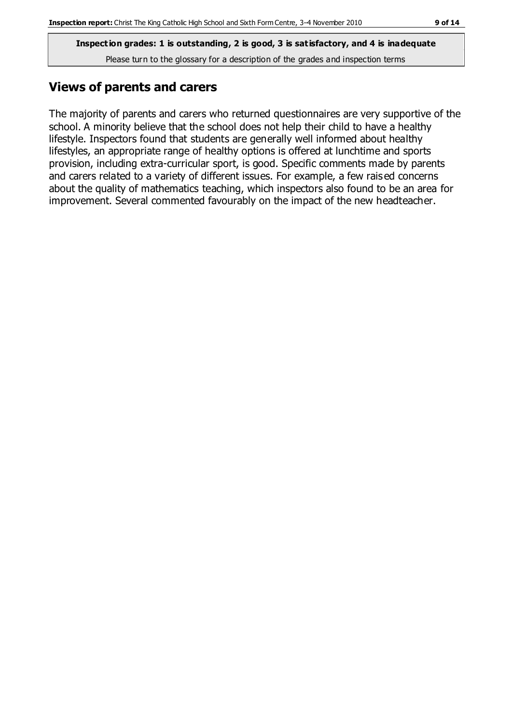**Inspection grades: 1 is outstanding, 2 is good, 3 is satisfactory, and 4 is inadequate** Please turn to the glossary for a description of the grades and inspection terms

## **Views of parents and carers**

The majority of parents and carers who returned questionnaires are very supportive of the school. A minority believe that the school does not help their child to have a healthy lifestyle. Inspectors found that students are generally well informed about healthy lifestyles, an appropriate range of healthy options is offered at lunchtime and sports provision, including extra-curricular sport, is good. Specific comments made by parents and carers related to a variety of different issues. For example, a few raised concerns about the quality of mathematics teaching, which inspectors also found to be an area for improvement. Several commented favourably on the impact of the new headteacher.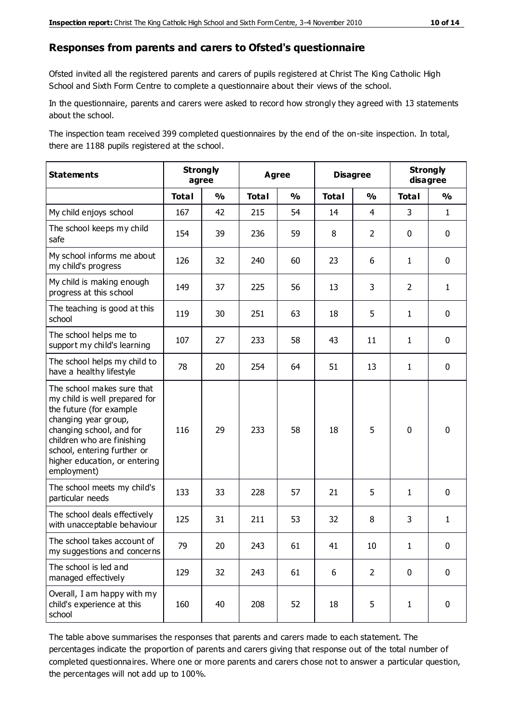#### **Responses from parents and carers to Ofsted's questionnaire**

Ofsted invited all the registered parents and carers of pupils registered at Christ The King Catholic High School and Sixth Form Centre to complete a questionnaire about their views of the school.

In the questionnaire, parents and carers were asked to record how strongly they agreed with 13 statements about the school.

The inspection team received 399 completed questionnaires by the end of the on-site inspection. In total, there are 1188 pupils registered at the school.

| <b>Statements</b>                                                                                                                                                                                                                                       | <b>Strongly</b><br>agree |               | <b>Agree</b> |               |              | <b>Disagree</b> |                | <b>Strongly</b><br>disagree |  |
|---------------------------------------------------------------------------------------------------------------------------------------------------------------------------------------------------------------------------------------------------------|--------------------------|---------------|--------------|---------------|--------------|-----------------|----------------|-----------------------------|--|
|                                                                                                                                                                                                                                                         | <b>Total</b>             | $\frac{1}{2}$ | <b>Total</b> | $\frac{0}{0}$ | <b>Total</b> | $\frac{0}{0}$   | <b>Total</b>   | $\frac{0}{0}$               |  |
| My child enjoys school                                                                                                                                                                                                                                  | 167                      | 42            | 215          | 54            | 14           | $\overline{4}$  | 3              | $\mathbf{1}$                |  |
| The school keeps my child<br>safe                                                                                                                                                                                                                       | 154                      | 39            | 236          | 59            | 8            | $\overline{2}$  | $\mathbf 0$    | $\mathbf 0$                 |  |
| My school informs me about<br>my child's progress                                                                                                                                                                                                       | 126                      | 32            | 240          | 60            | 23           | 6               | $\mathbf{1}$   | $\mathbf 0$                 |  |
| My child is making enough<br>progress at this school                                                                                                                                                                                                    | 149                      | 37            | 225          | 56            | 13           | 3               | $\overline{2}$ | $\mathbf{1}$                |  |
| The teaching is good at this<br>school                                                                                                                                                                                                                  | 119                      | 30            | 251          | 63            | 18           | 5               | $\mathbf{1}$   | $\mathbf 0$                 |  |
| The school helps me to<br>support my child's learning                                                                                                                                                                                                   | 107                      | 27            | 233          | 58            | 43           | 11              | $\mathbf{1}$   | $\mathbf 0$                 |  |
| The school helps my child to<br>have a healthy lifestyle                                                                                                                                                                                                | 78                       | 20            | 254          | 64            | 51           | 13              | $\mathbf{1}$   | $\mathbf 0$                 |  |
| The school makes sure that<br>my child is well prepared for<br>the future (for example<br>changing year group,<br>changing school, and for<br>children who are finishing<br>school, entering further or<br>higher education, or entering<br>employment) | 116                      | 29            | 233          | 58            | 18           | 5               | $\mathbf 0$    | $\mathbf 0$                 |  |
| The school meets my child's<br>particular needs                                                                                                                                                                                                         | 133                      | 33            | 228          | 57            | 21           | 5               | $\mathbf{1}$   | $\mathbf 0$                 |  |
| The school deals effectively<br>with unacceptable behaviour                                                                                                                                                                                             | 125                      | 31            | 211          | 53            | 32           | 8               | 3              | $\mathbf{1}$                |  |
| The school takes account of<br>my suggestions and concerns                                                                                                                                                                                              | 79                       | 20            | 243          | 61            | 41           | 10              | 1              | 0                           |  |
| The school is led and<br>managed effectively                                                                                                                                                                                                            | 129                      | 32            | 243          | 61            | 6            | $\overline{2}$  | $\mathbf 0$    | $\mathbf 0$                 |  |
| Overall, I am happy with my<br>child's experience at this<br>school                                                                                                                                                                                     | 160                      | 40            | 208          | 52            | 18           | 5               | $\mathbf{1}$   | $\pmb{0}$                   |  |

The table above summarises the responses that parents and carers made to each statement. The percentages indicate the proportion of parents and carers giving that response out of the total number of completed questionnaires. Where one or more parents and carers chose not to answer a particular question, the percentages will not add up to 100%.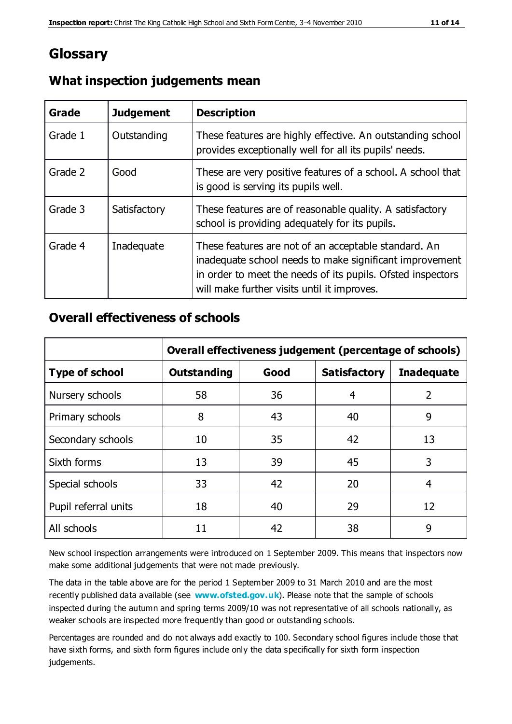## **Glossary**

| Grade   | <b>Judgement</b> | <b>Description</b>                                                                                                                                                                                                            |
|---------|------------------|-------------------------------------------------------------------------------------------------------------------------------------------------------------------------------------------------------------------------------|
| Grade 1 | Outstanding      | These features are highly effective. An outstanding school<br>provides exceptionally well for all its pupils' needs.                                                                                                          |
| Grade 2 | Good             | These are very positive features of a school. A school that<br>is good is serving its pupils well.                                                                                                                            |
| Grade 3 | Satisfactory     | These features are of reasonable quality. A satisfactory<br>school is providing adequately for its pupils.                                                                                                                    |
| Grade 4 | Inadequate       | These features are not of an acceptable standard. An<br>inadequate school needs to make significant improvement<br>in order to meet the needs of its pupils. Ofsted inspectors<br>will make further visits until it improves. |

#### **What inspection judgements mean**

#### **Overall effectiveness of schools**

|                       | Overall effectiveness judgement (percentage of schools) |      |                     |                   |
|-----------------------|---------------------------------------------------------|------|---------------------|-------------------|
| <b>Type of school</b> | <b>Outstanding</b>                                      | Good | <b>Satisfactory</b> | <b>Inadequate</b> |
| Nursery schools       | 58                                                      | 36   | 4                   | 2                 |
| Primary schools       | 8                                                       | 43   | 40                  | 9                 |
| Secondary schools     | 10                                                      | 35   | 42                  | 13                |
| Sixth forms           | 13                                                      | 39   | 45                  | 3                 |
| Special schools       | 33                                                      | 42   | 20                  | 4                 |
| Pupil referral units  | 18                                                      | 40   | 29                  | 12                |
| All schools           | 11                                                      | 42   | 38                  | 9                 |

New school inspection arrangements were introduced on 1 September 2009. This means that inspectors now make some additional judgements that were not made previously.

The data in the table above are for the period 1 September 2009 to 31 March 2010 and are the most recently published data available (see **[www.ofsted.gov.uk](http://www.ofsted.gov.uk/)**). Please note that the sample of schools inspected during the autumn and spring terms 2009/10 was not representative of all schools nationally, as weaker schools are inspected more frequently than good or outstanding schools.

Percentages are rounded and do not always add exactly to 100. Secondary school figures include those that have sixth forms, and sixth form figures include only the data specifically for sixth form inspection judgements.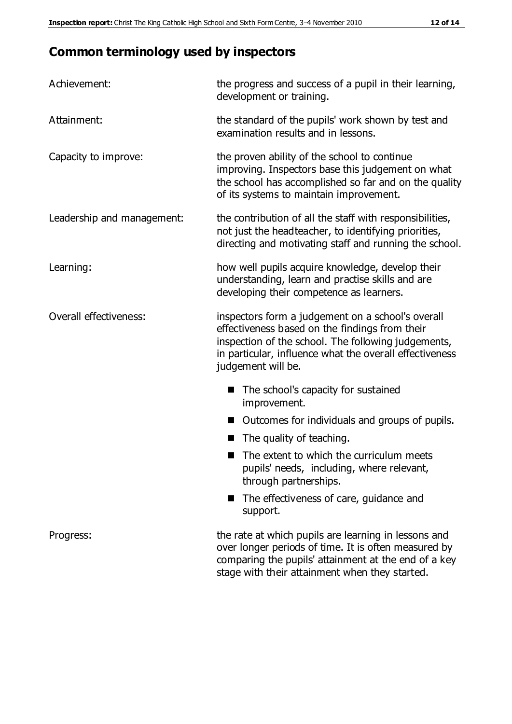## **Common terminology used by inspectors**

| Achievement:               | the progress and success of a pupil in their learning,<br>development or training.                                                                                                                                                          |  |  |
|----------------------------|---------------------------------------------------------------------------------------------------------------------------------------------------------------------------------------------------------------------------------------------|--|--|
| Attainment:                | the standard of the pupils' work shown by test and<br>examination results and in lessons.                                                                                                                                                   |  |  |
| Capacity to improve:       | the proven ability of the school to continue<br>improving. Inspectors base this judgement on what<br>the school has accomplished so far and on the quality<br>of its systems to maintain improvement.                                       |  |  |
| Leadership and management: | the contribution of all the staff with responsibilities,<br>not just the headteacher, to identifying priorities,<br>directing and motivating staff and running the school.                                                                  |  |  |
| Learning:                  | how well pupils acquire knowledge, develop their<br>understanding, learn and practise skills and are<br>developing their competence as learners.                                                                                            |  |  |
| Overall effectiveness:     | inspectors form a judgement on a school's overall<br>effectiveness based on the findings from their<br>inspection of the school. The following judgements,<br>in particular, influence what the overall effectiveness<br>judgement will be. |  |  |
|                            | The school's capacity for sustained<br>improvement.                                                                                                                                                                                         |  |  |
|                            | Outcomes for individuals and groups of pupils.                                                                                                                                                                                              |  |  |
|                            | The quality of teaching.                                                                                                                                                                                                                    |  |  |
|                            | The extent to which the curriculum meets<br>pupils' needs, including, where relevant,<br>through partnerships.                                                                                                                              |  |  |
|                            | The effectiveness of care, guidance and<br>support.                                                                                                                                                                                         |  |  |
| Progress:                  | the rate at which pupils are learning in lessons and<br>over longer periods of time. It is often measured by<br>comparing the pupils' attainment at the end of a key                                                                        |  |  |

stage with their attainment when they started.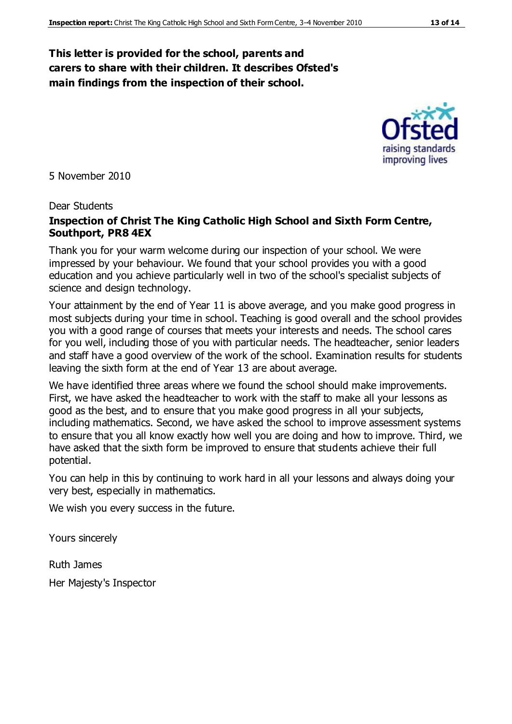#### **This letter is provided for the school, parents and carers to share with their children. It describes Ofsted's main findings from the inspection of their school.**

5 November 2010

#### Dear Students

#### **Inspection of Christ The King Catholic High School and Sixth Form Centre, Southport, PR8 4EX**

Thank you for your warm welcome during our inspection of your school. We were impressed by your behaviour. We found that your school provides you with a good education and you achieve particularly well in two of the school's specialist subjects of science and design technology.

Your attainment by the end of Year 11 is above average, and you make good progress in most subjects during your time in school. Teaching is good overall and the school provides you with a good range of courses that meets your interests and needs. The school cares for you well, including those of you with particular needs. The headteacher, senior leaders and staff have a good overview of the work of the school. Examination results for students leaving the sixth form at the end of Year 13 are about average.

We have identified three areas where we found the school should make improvements. First, we have asked the headteacher to work with the staff to make all your lessons as good as the best, and to ensure that you make good progress in all your subjects, including mathematics. Second, we have asked the school to improve assessment systems to ensure that you all know exactly how well you are doing and how to improve. Third, we have asked that the sixth form be improved to ensure that students achieve their full potential.

You can help in this by continuing to work hard in all your lessons and always doing your very best, especially in mathematics.

We wish you every success in the future.

Yours sincerely

Ruth James

Her Majesty's Inspector